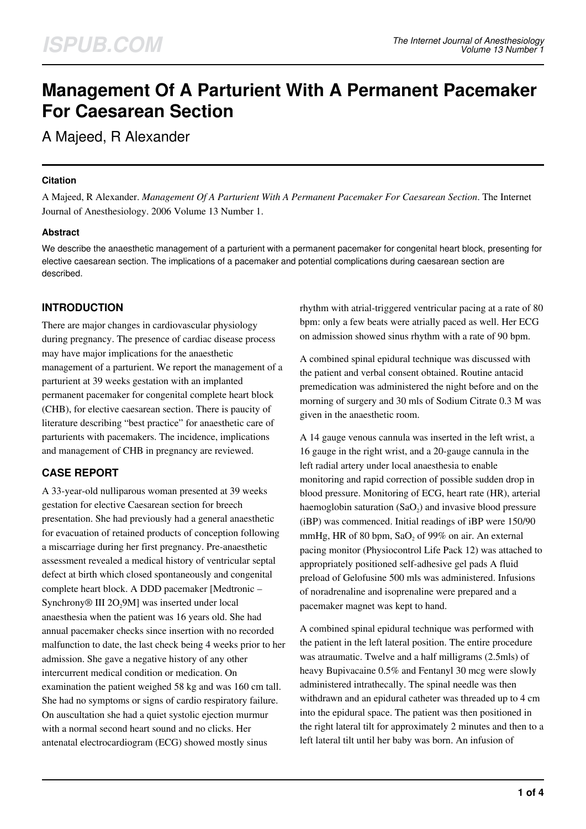# **Management Of A Parturient With A Permanent Pacemaker For Caesarean Section**

A Majeed, R Alexander

## **Citation**

A Majeed, R Alexander. *Management Of A Parturient With A Permanent Pacemaker For Caesarean Section*. The Internet Journal of Anesthesiology. 2006 Volume 13 Number 1.

## **Abstract**

We describe the anaesthetic management of a parturient with a permanent pacemaker for congenital heart block, presenting for elective caesarean section. The implications of a pacemaker and potential complications during caesarean section are described.

# **INTRODUCTION**

There are major changes in cardiovascular physiology during pregnancy. The presence of cardiac disease process may have major implications for the anaesthetic management of a parturient. We report the management of a parturient at 39 weeks gestation with an implanted permanent pacemaker for congenital complete heart block (CHB), for elective caesarean section. There is paucity of literature describing "best practice" for anaesthetic care of parturients with pacemakers. The incidence, implications and management of CHB in pregnancy are reviewed.

# **CASE REPORT**

A 33-year-old nulliparous woman presented at 39 weeks gestation for elective Caesarean section for breech presentation. She had previously had a general anaesthetic for evacuation of retained products of conception following a miscarriage during her first pregnancy. Pre-anaesthetic assessment revealed a medical history of ventricular septal defect at birth which closed spontaneously and congenital complete heart block. A DDD pacemaker [Medtronic – Synchrony® III 2O<sub>2</sub>9M] was inserted under local anaesthesia when the patient was 16 years old. She had annual pacemaker checks since insertion with no recorded malfunction to date, the last check being 4 weeks prior to her admission. She gave a negative history of any other intercurrent medical condition or medication. On examination the patient weighed 58 kg and was 160 cm tall. She had no symptoms or signs of cardio respiratory failure. On auscultation she had a quiet systolic ejection murmur with a normal second heart sound and no clicks. Her antenatal electrocardiogram (ECG) showed mostly sinus

rhythm with atrial-triggered ventricular pacing at a rate of 80 bpm: only a few beats were atrially paced as well. Her ECG on admission showed sinus rhythm with a rate of 90 bpm.

A combined spinal epidural technique was discussed with the patient and verbal consent obtained. Routine antacid premedication was administered the night before and on the morning of surgery and 30 mls of Sodium Citrate 0.3 M was given in the anaesthetic room.

A 14 gauge venous cannula was inserted in the left wrist, a 16 gauge in the right wrist, and a 20-gauge cannula in the left radial artery under local anaesthesia to enable monitoring and rapid correction of possible sudden drop in blood pressure. Monitoring of ECG, heart rate (HR), arterial haemoglobin saturation  $(SaO<sub>2</sub>)$  and invasive blood pressure (iBP) was commenced. Initial readings of iBP were 150/90 mmHg, HR of 80 bpm,  $SaO<sub>2</sub>$  of 99% on air. An external pacing monitor (Physiocontrol Life Pack 12) was attached to appropriately positioned self-adhesive gel pads A fluid preload of Gelofusine 500 mls was administered. Infusions of noradrenaline and isoprenaline were prepared and a pacemaker magnet was kept to hand.

A combined spinal epidural technique was performed with the patient in the left lateral position. The entire procedure was atraumatic. Twelve and a half milligrams (2.5mls) of heavy Bupivacaine 0.5% and Fentanyl 30 mcg were slowly administered intrathecally. The spinal needle was then withdrawn and an epidural catheter was threaded up to 4 cm into the epidural space. The patient was then positioned in the right lateral tilt for approximately 2 minutes and then to a left lateral tilt until her baby was born. An infusion of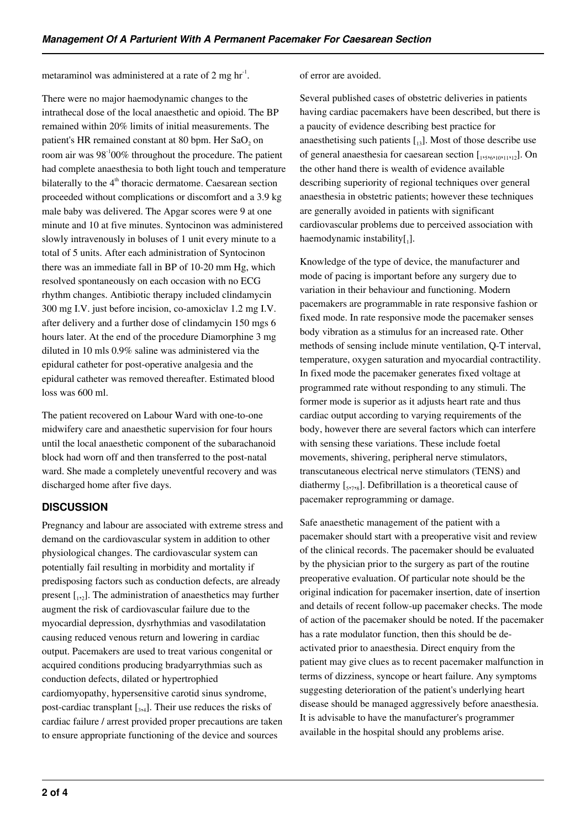metaraminol was administered at a rate of 2 mg  $\text{hr}^1$ .

There were no major haemodynamic changes to the intrathecal dose of the local anaesthetic and opioid. The BP remained within 20% limits of initial measurements. The patient's HR remained constant at 80 bpm. Her  ${\rm SaO_2}$  on room air was 98-100% throughout the procedure. The patient had complete anaesthesia to both light touch and temperature bilaterally to the  $4<sup>th</sup>$  thoracic dermatome. Caesarean section proceeded without complications or discomfort and a 3.9 kg male baby was delivered. The Apgar scores were 9 at one minute and 10 at five minutes. Syntocinon was administered slowly intravenously in boluses of 1 unit every minute to a total of 5 units. After each administration of Syntocinon there was an immediate fall in BP of 10-20 mm Hg, which resolved spontaneously on each occasion with no ECG rhythm changes. Antibiotic therapy included clindamycin 300 mg I.V. just before incision, co-amoxiclav 1.2 mg I.V. after delivery and a further dose of clindamycin 150 mgs 6 hours later. At the end of the procedure Diamorphine 3 mg diluted in 10 mls 0.9% saline was administered via the epidural catheter for post-operative analgesia and the epidural catheter was removed thereafter. Estimated blood loss was 600 ml.

The patient recovered on Labour Ward with one-to-one midwifery care and anaesthetic supervision for four hours until the local anaesthetic component of the subarachanoid block had worn off and then transferred to the post-natal ward. She made a completely uneventful recovery and was discharged home after five days.

# **DISCUSSION**

Pregnancy and labour are associated with extreme stress and demand on the cardiovascular system in addition to other physiological changes. The cardiovascular system can potentially fail resulting in morbidity and mortality if predisposing factors such as conduction defects, are already present  $\begin{bmatrix} 1 \\ 2 \end{bmatrix}$ . The administration of anaesthetics may further augment the risk of cardiovascular failure due to the myocardial depression, dysrhythmias and vasodilatation causing reduced venous return and lowering in cardiac output. Pacemakers are used to treat various congenital or acquired conditions producing bradyarrythmias such as conduction defects, dilated or hypertrophied cardiomyopathy, hypersensitive carotid sinus syndrome, post-cardiac transplant  $\left[ \frac{1}{3}, \frac{1}{4} \right]$ . Their use reduces the risks of cardiac failure / arrest provided proper precautions are taken to ensure appropriate functioning of the device and sources

#### of error are avoided.

Several published cases of obstetric deliveries in patients having cardiac pacemakers have been described, but there is a paucity of evidence describing best practice for anaesthetising such patients  $\begin{bmatrix} 13 \end{bmatrix}$ . Most of those describe use of general anaesthesia for caesarean section  $[1, 5, 6, 10, 11, 12]$ . On the other hand there is wealth of evidence available describing superiority of regional techniques over general anaesthesia in obstetric patients; however these techniques are generally avoided in patients with significant cardiovascular problems due to perceived association with haemodynamic instability $[$ <sub>1</sub>].

Knowledge of the type of device, the manufacturer and mode of pacing is important before any surgery due to variation in their behaviour and functioning. Modern pacemakers are programmable in rate responsive fashion or fixed mode. In rate responsive mode the pacemaker senses body vibration as a stimulus for an increased rate. Other methods of sensing include minute ventilation, Q-T interval, temperature, oxygen saturation and myocardial contractility. In fixed mode the pacemaker generates fixed voltage at programmed rate without responding to any stimuli. The former mode is superior as it adjusts heart rate and thus cardiac output according to varying requirements of the body, however there are several factors which can interfere with sensing these variations. These include foetal movements, shivering, peripheral nerve stimulators, transcutaneous electrical nerve stimulators (TENS) and diathermy  $[\,_s, \, \cdot\, , s\,]$ . Defibrillation is a theoretical cause of pacemaker reprogramming or damage.

Safe anaesthetic management of the patient with a pacemaker should start with a preoperative visit and review of the clinical records. The pacemaker should be evaluated by the physician prior to the surgery as part of the routine preoperative evaluation. Of particular note should be the original indication for pacemaker insertion, date of insertion and details of recent follow-up pacemaker checks. The mode of action of the pacemaker should be noted. If the pacemaker has a rate modulator function, then this should be deactivated prior to anaesthesia. Direct enquiry from the patient may give clues as to recent pacemaker malfunction in terms of dizziness, syncope or heart failure. Any symptoms suggesting deterioration of the patient's underlying heart disease should be managed aggressively before anaesthesia. It is advisable to have the manufacturer's programmer available in the hospital should any problems arise.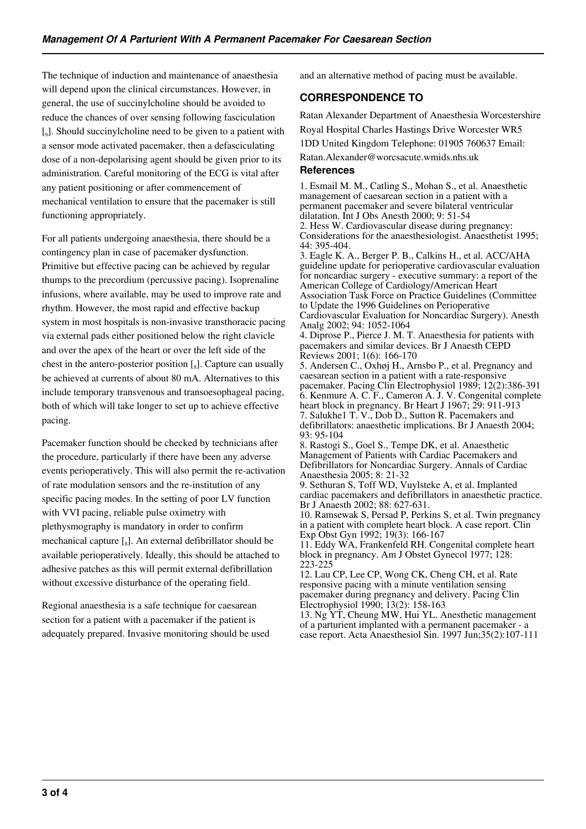The technique of induction and maintenance of anaesthesia will depend upon the clinical circumstances. However, in general, the use of succinylcholine should be avoided to reduce the chances of over sensing following fasciculation [<sub>9</sub>]. Should succinylcholine need to be given to a patient with a sensor mode activated pacemaker, then a defasciculating dose of a non-depolarising agent should be given prior to its administration. Careful monitoring of the ECG is vital after any patient positioning or after commencement of mechanical ventilation to ensure that the pacemaker is still functioning appropriately.

For all patients undergoing anaesthesia, there should be a contingency plan in case of pacemaker dysfunction. Primitive but effective pacing can be achieved by regular thumps to the precordium (percussive pacing). Isoprenaline infusions, where available, may be used to improve rate and rhythm. However, the most rapid and effective backup system in most hospitals is non-invasive transthoracic pacing via external pads either positioned below the right clavicle and over the apex of the heart or over the left side of the chest in the antero-posterior position  $\left[\begin{smallmatrix}8\end{smallmatrix}\right]$ . Capture can usually be achieved at currents of about 80 mA. Alternatives to this include temporary transvenous and transoesophageal pacing, both of which will take longer to set up to achieve effective pacing.

Pacemaker function should be checked by technicians after the procedure, particularly if there have been any adverse events perioperatively. This will also permit the re-activation of rate modulation sensors and the re-institution of any specific pacing modes. In the setting of poor LV function with VVI pacing, reliable pulse oximetry with plethysmography is mandatory in order to confirm mechanical capture  $\left[\begin{smallmatrix}S\end{smallmatrix}\right]$ . An external defibrillator should be available perioperatively. Ideally, this should be attached to adhesive patches as this will permit external defibrillation without excessive disturbance of the operating field.

Regional anaesthesia is a safe technique for caesarean section for a patient with a pacemaker if the patient is adequately prepared. Invasive monitoring should be used and an alternative method of pacing must be available.

# **CORRESPONDENCE TO**

Ratan Alexander Department of Anaesthesia Worcestershire Royal Hospital Charles Hastings Drive Worcester WR5

1DD United Kingdom Telephone: 01905 760637 Email: Ratan.Alexander@worcsacute.wmids.nhs.uk

## **References**

1. Esmail M. M., Catling S., Mohan S., et al. Anaesthetic management of caesarean section in a patient with a permanent pacemaker and severe bilateral ventricular dilatation. Int J Obs Anesth 2000; 9: 51-54 2. Hess W. Cardiovascular disease during pregnancy: Considerations for the anaesthesiologist. Anaesthetist 1995; 44: 395-404. 3. Eagle K. A., Berger P. B., Calkins H., et al. ACC/AHA guideline update for perioperative cardiovascular evaluation for noncardiac surgery - executive summary: a report of the American College of Cardiology/American Heart Association Task Force on Practice Guidelines (Committee to Update the 1996 Guidelines on Perioperative Cardiovascular Evaluation for Noncardiac Surgery). Anesth Analg 2002; 94: 1052-1064 4. Diprose P., Pierce J. M. T. Anaesthesia for patients with pacemakers and similar devices. Br J Anaesth CEPD Reviews 2001; 1(6): 166-170 5. Andersen C., Oxhøj H., Arnsbo P., et al. Pregnancy and caesarean section in a patient with a rate-responsive pacemaker. Pacing Clin Electrophysiol 1989; 12(2):386-391 6. Kenmure A. C. F., Cameron A. J. V. Congenital complete heart block in pregnancy. Br Heart J 1967; 29: 911-913 7. Salukhe1 T. V., Dob D., Sutton R. Pacemakers and defibrillators: anaesthetic implications. Br J Anaesth 2004; 93: 95-104 8. Rastogi S., Goel S., Tempe DK, et al. Anaesthetic Management of Patients with Cardiac Pacemakers and Defibrillators for Noncardiac Surgery. Annals of Cardiac Anaesthesia 2005; 8: 21-32 9. Sethuran S, Toff WD, Vuylsteke A, et al. Implanted cardiac pacemakers and defibrillators in anaesthetic practice. Br J Anaesth 2002; 88: 627-631. 10. Ramsewak S, Persad P, Perkins S, et al. Twin pregnancy in a patient with complete heart block. A case report. Clin Exp Obst Gyn 1992; 19(3): 166-167 11. Eddy WA, Frankenfeld RH. Congenital complete heart block in pregnancy. Am J Obstet Gynecol 1977; 128: 223-225 12. Lau CP, Lee CP, Wong CK, Cheng CH, et al. Rate responsive pacing with a minute ventilation sensing pacemaker during pregnancy and delivery. Pacing Clin Electrophysiol 1990; 13(2): 158-163

13. Ng YT, Cheung MW, Hui YL. Anesthetic management of a parturient implanted with a permanent pacemaker - a case report. Acta Anaesthesiol Sin. 1997 Jun;35(2):107-111